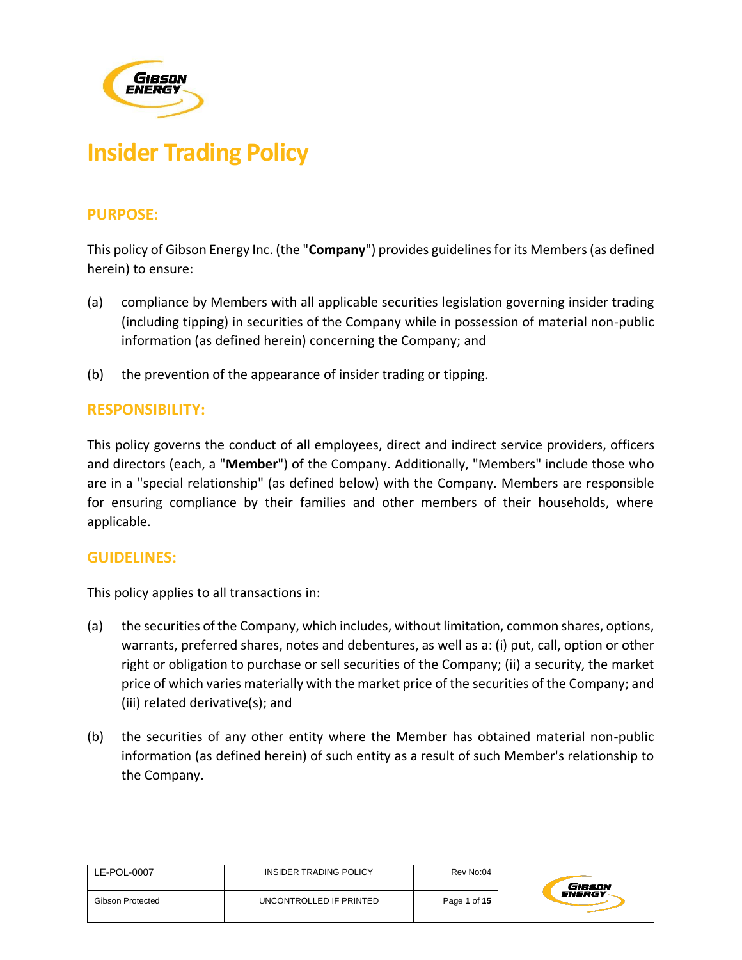

# **Insider Trading Policy**

# **PURPOSE:**

This policy of Gibson Energy Inc. (the "**Company**") provides guidelines for its Members (as defined herein) to ensure:

- (a) compliance by Members with all applicable securities legislation governing insider trading (including tipping) in securities of the Company while in possession of material non-public information (as defined herein) concerning the Company; and
- (b) the prevention of the appearance of insider trading or tipping.

# **RESPONSIBILITY:**

This policy governs the conduct of all employees, direct and indirect service providers, officers and directors (each, a "**Member**") of the Company. Additionally, "Members" include those who are in a "special relationship" (as defined below) with the Company. Members are responsible for ensuring compliance by their families and other members of their households, where applicable.

# **GUIDELINES:**

This policy applies to all transactions in:

- (a) the securities of the Company, which includes, without limitation, common shares, options, warrants, preferred shares, notes and debentures, as well as a: (i) put, call, option or other right or obligation to purchase or sell securities of the Company; (ii) a security, the market price of which varies materially with the market price of the securities of the Company; and (iii) related derivative(s); and
- (b) the securities of any other entity where the Member has obtained material non-public information (as defined herein) of such entity as a result of such Member's relationship to the Company.

| LE-POL-0007             | INSIDER TRADING POLICY  | Rev No:04    | GIBSON        |
|-------------------------|-------------------------|--------------|---------------|
| <b>Gibson Protected</b> | UNCONTROLLED IF PRINTED | Page 1 of 15 | <b>ENERGY</b> |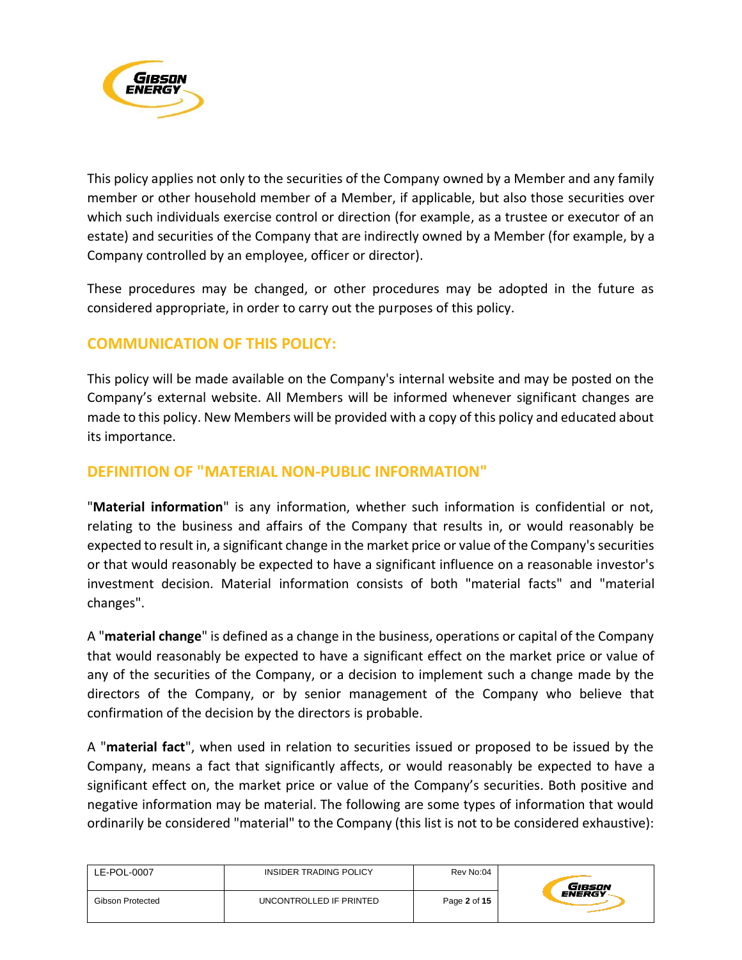

This policy applies not only to the securities of the Company owned by a Member and any family member or other household member of a Member, if applicable, but also those securities over which such individuals exercise control or direction (for example, as a trustee or executor of an estate) and securities of the Company that are indirectly owned by a Member (for example, by a Company controlled by an employee, officer or director).

These procedures may be changed, or other procedures may be adopted in the future as considered appropriate, in order to carry out the purposes of this policy.

# **COMMUNICATION OF THIS POLICY:**

This policy will be made available on the Company's internal website and may be posted on the Company's external website. All Members will be informed whenever significant changes are made to this policy. New Members will be provided with a copy of this policy and educated about its importance.

# **DEFINITION OF "MATERIAL NON-PUBLIC INFORMATION"**

"**Material information**" is any information, whether such information is confidential or not, relating to the business and affairs of the Company that results in, or would reasonably be expected to result in, a significant change in the market price or value of the Company's securities or that would reasonably be expected to have a significant influence on a reasonable investor's investment decision. Material information consists of both "material facts" and "material changes".

A "**material change**" is defined as a change in the business, operations or capital of the Company that would reasonably be expected to have a significant effect on the market price or value of any of the securities of the Company, or a decision to implement such a change made by the directors of the Company, or by senior management of the Company who believe that confirmation of the decision by the directors is probable.

A "**material fact**", when used in relation to securities issued or proposed to be issued by the Company, means a fact that significantly affects, or would reasonably be expected to have a significant effect on, the market price or value of the Company's securities. Both positive and negative information may be material. The following are some types of information that would ordinarily be considered "material" to the Company (this list is not to be considered exhaustive):

| LE-POL-0007      | INSIDER TRADING POLICY  | Rev No:04    | Gibson        |
|------------------|-------------------------|--------------|---------------|
| Gibson Protected | UNCONTROLLED IF PRINTED | Page 2 of 15 | <b>ENERGY</b> |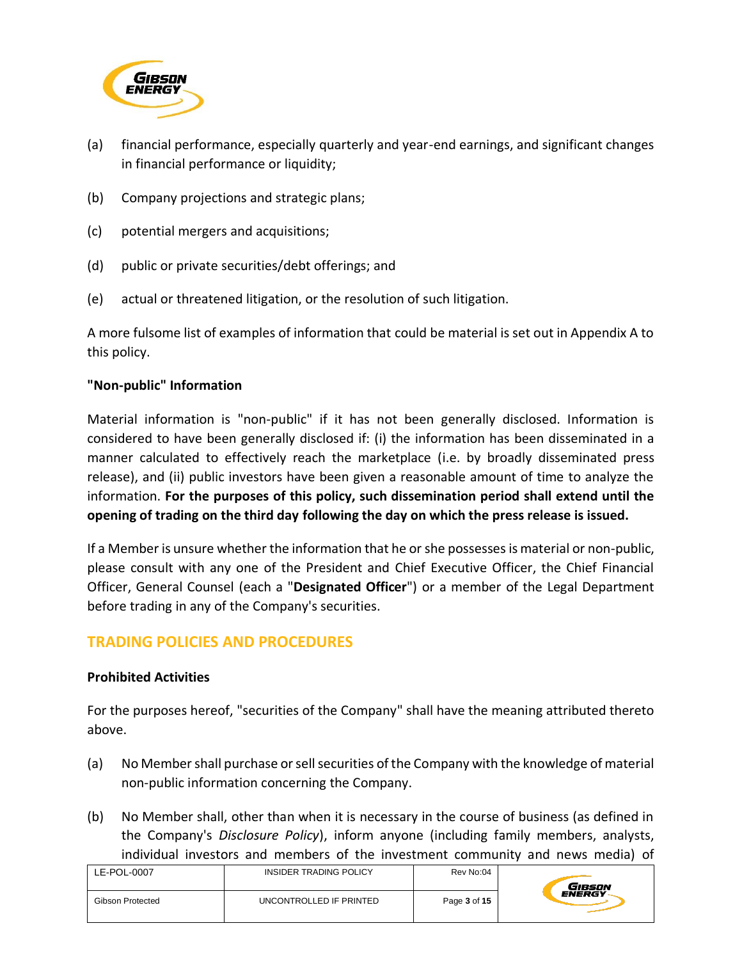

- (a) financial performance, especially quarterly and year-end earnings, and significant changes in financial performance or liquidity;
- (b) Company projections and strategic plans;
- (c) potential mergers and acquisitions;
- (d) public or private securities/debt offerings; and
- (e) actual or threatened litigation, or the resolution of such litigation.

A more fulsome list of examples of information that could be material is set out in Appendix A to this policy.

#### **"Non-public" Information**

Material information is "non-public" if it has not been generally disclosed. Information is considered to have been generally disclosed if: (i) the information has been disseminated in a manner calculated to effectively reach the marketplace (i.e. by broadly disseminated press release), and (ii) public investors have been given a reasonable amount of time to analyze the information. **For the purposes of this policy, such dissemination period shall extend until the opening of trading on the third day following the day on which the press release is issued.**

If a Member is unsure whether the information that he or she possesses is material or non-public, please consult with any one of the President and Chief Executive Officer, the Chief Financial Officer, General Counsel (each a "**Designated Officer**") or a member of the Legal Department before trading in any of the Company's securities.

# **TRADING POLICIES AND PROCEDURES**

## **Prohibited Activities**

For the purposes hereof, "securities of the Company" shall have the meaning attributed thereto above.

- (a) No Member shall purchase or sell securities of the Company with the knowledge of material non-public information concerning the Company.
- (b) No Member shall, other than when it is necessary in the course of business (as defined in the Company's *Disclosure Policy*), inform anyone (including family members, analysts, individual investors and members of the investment community and news media) of

| LE-POL-0007      | INSIDER TRADING POLICY  | Rev No:04    | GiBSON        |
|------------------|-------------------------|--------------|---------------|
| Gibson Protected | UNCONTROLLED IF PRINTED | Page 3 of 15 | <b>ENERGY</b> |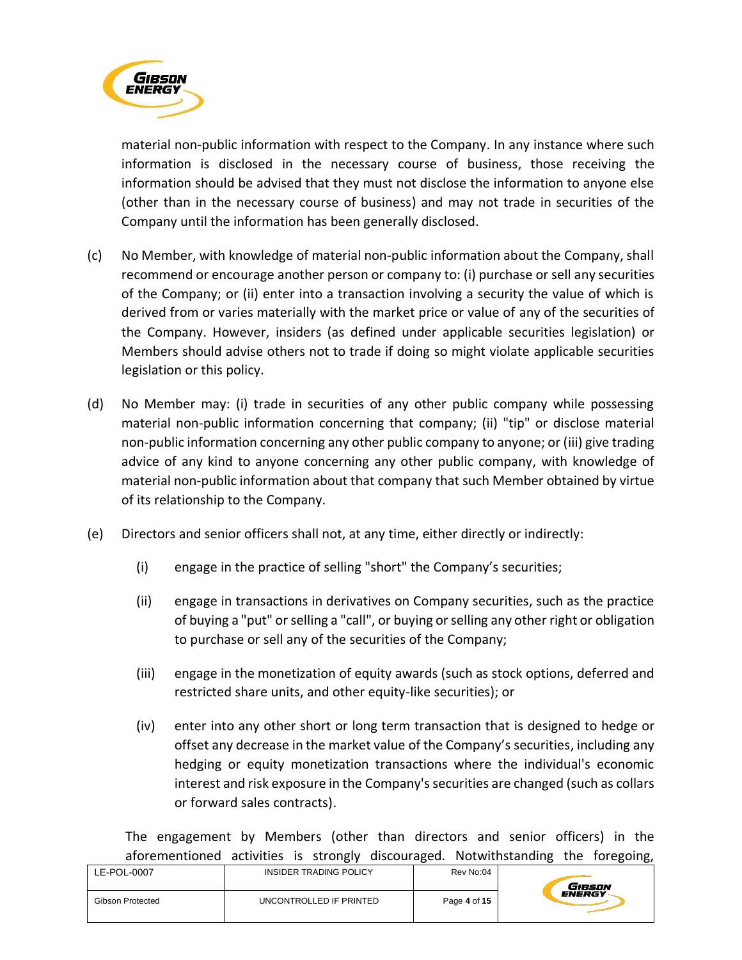

material non-public information with respect to the Company. In any instance where such information is disclosed in the necessary course of business, those receiving the information should be advised that they must not disclose the information to anyone else (other than in the necessary course of business) and may not trade in securities of the Company until the information has been generally disclosed.

- (c) No Member, with knowledge of material non-public information about the Company, shall recommend or encourage another person or company to: (i) purchase or sell any securities of the Company; or (ii) enter into a transaction involving a security the value of which is derived from or varies materially with the market price or value of any of the securities of the Company. However, insiders (as defined under applicable securities legislation) or Members should advise others not to trade if doing so might violate applicable securities legislation or this policy.
- (d) No Member may: (i) trade in securities of any other public company while possessing material non-public information concerning that company; (ii) "tip" or disclose material non-public information concerning any other public company to anyone; or (iii) give trading advice of any kind to anyone concerning any other public company, with knowledge of material non-public information about that company that such Member obtained by virtue of its relationship to the Company.
- (e) Directors and senior officers shall not, at any time, either directly or indirectly:
	- (i) engage in the practice of selling "short" the Company's securities;
	- (ii) engage in transactions in derivatives on Company securities, such as the practice of buying a "put" or selling a "call", or buying orselling any other right or obligation to purchase or sell any of the securities of the Company;
	- (iii) engage in the monetization of equity awards (such as stock options, deferred and restricted share units, and other equity-like securities); or
	- (iv) enter into any other short or long term transaction that is designed to hedge or offset any decrease in the market value of the Company's securities, including any hedging or equity monetization transactions where the individual's economic interest and risk exposure in the Company's securities are changed (such as collars or forward sales contracts).

The engagement by Members (other than directors and senior officers) in the aforementioned activities is strongly discouraged. Notwithstanding the foregoing,

| LE-POL-0007      | INSIDER TRADING POLICY  | Rev No:04    | GIBSON        |
|------------------|-------------------------|--------------|---------------|
| Gibson Protected | UNCONTROLLED IF PRINTED | Page 4 of 15 | <b>ENERGY</b> |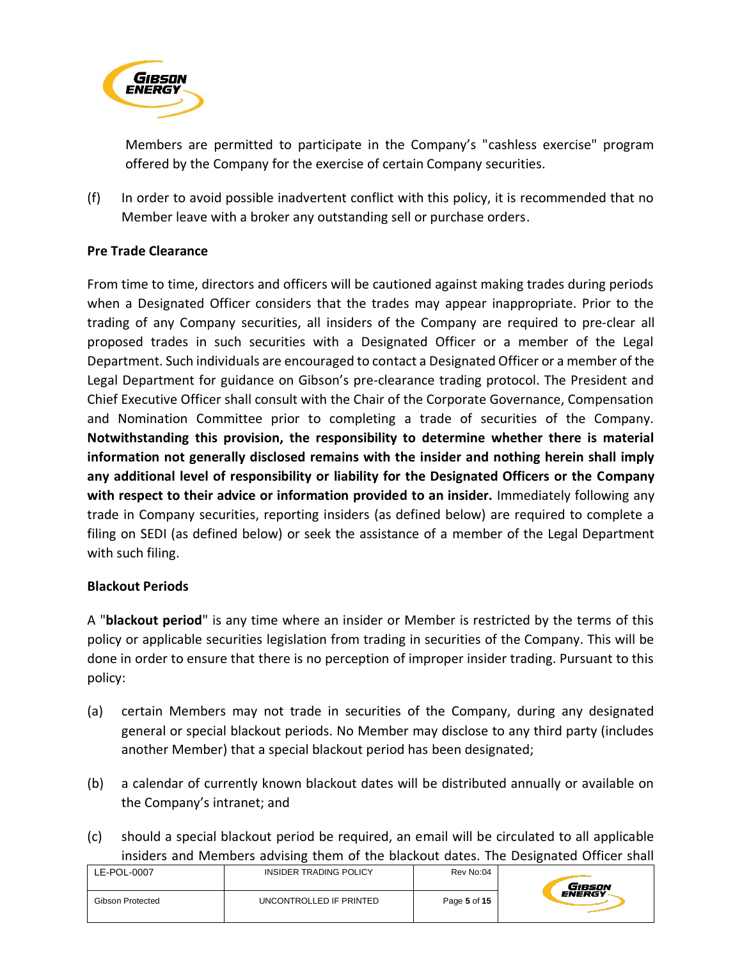

Members are permitted to participate in the Company's "cashless exercise" program offered by the Company for the exercise of certain Company securities.

(f) In order to avoid possible inadvertent conflict with this policy, it is recommended that no Member leave with a broker any outstanding sell or purchase orders.

## **Pre Trade Clearance**

From time to time, directors and officers will be cautioned against making trades during periods when a Designated Officer considers that the trades may appear inappropriate. Prior to the trading of any Company securities, all insiders of the Company are required to pre-clear all proposed trades in such securities with a Designated Officer or a member of the Legal Department. Such individuals are encouraged to contact a Designated Officer or a member of the Legal Department for guidance on Gibson's pre-clearance trading protocol. The President and Chief Executive Officer shall consult with the Chair of the Corporate Governance, Compensation and Nomination Committee prior to completing a trade of securities of the Company. **Notwithstanding this provision, the responsibility to determine whether there is material information not generally disclosed remains with the insider and nothing herein shall imply any additional level of responsibility or liability for the Designated Officers or the Company with respect to their advice or information provided to an insider.** Immediately following any trade in Company securities, reporting insiders (as defined below) are required to complete a filing on SEDI (as defined below) or seek the assistance of a member of the Legal Department with such filing.

## **Blackout Periods**

A "**blackout period**" is any time where an insider or Member is restricted by the terms of this policy or applicable securities legislation from trading in securities of the Company. This will be done in order to ensure that there is no perception of improper insider trading. Pursuant to this policy:

- (a) certain Members may not trade in securities of the Company, during any designated general or special blackout periods. No Member may disclose to any third party (includes another Member) that a special blackout period has been designated;
- (b) a calendar of currently known blackout dates will be distributed annually or available on the Company's intranet; and
- (c) should a special blackout period be required, an email will be circulated to all applicable insiders and Members advising them of the blackout dates. The Designated Officer shall

| LE-POL-0007             | INSIDER TRADING POLICY  | Rev No:04    | Gibson        |
|-------------------------|-------------------------|--------------|---------------|
| <b>Gibson Protected</b> | UNCONTROLLED IF PRINTED | Page 5 of 15 | <b>ENERGY</b> |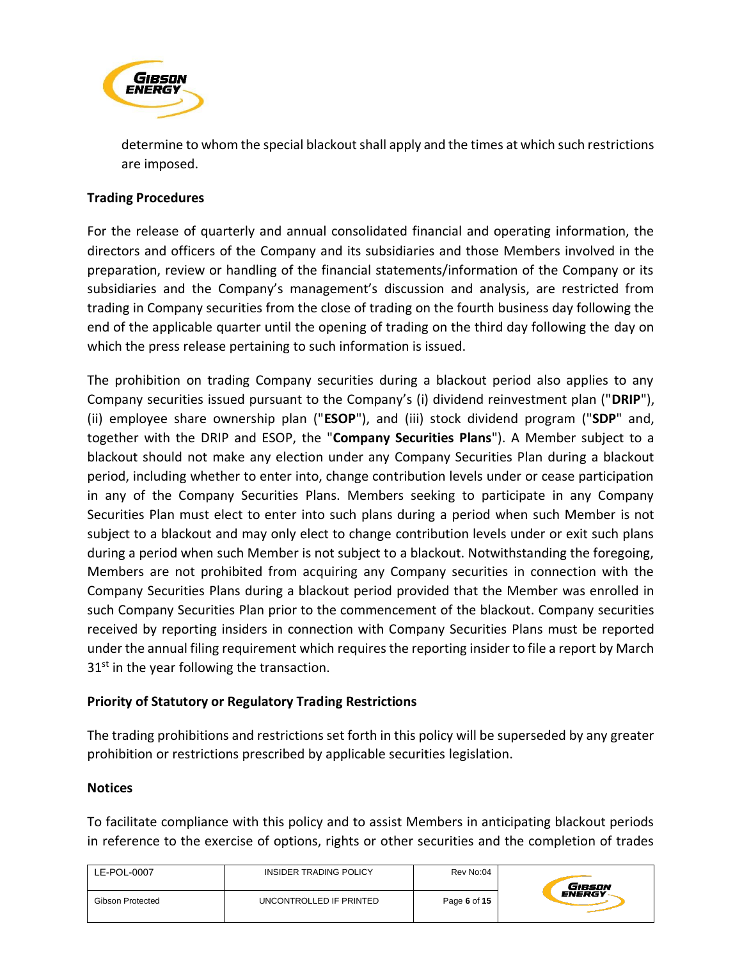

determine to whom the special blackout shall apply and the times at which such restrictions are imposed.

#### **Trading Procedures**

For the release of quarterly and annual consolidated financial and operating information, the directors and officers of the Company and its subsidiaries and those Members involved in the preparation, review or handling of the financial statements/information of the Company or its subsidiaries and the Company's management's discussion and analysis, are restricted from trading in Company securities from the close of trading on the fourth business day following the end of the applicable quarter until the opening of trading on the third day following the day on which the press release pertaining to such information is issued.

The prohibition on trading Company securities during a blackout period also applies to any Company securities issued pursuant to the Company's (i) dividend reinvestment plan ("**DRIP**"), (ii) employee share ownership plan ("**ESOP**"), and (iii) stock dividend program ("**SDP**" and, together with the DRIP and ESOP, the "**Company Securities Plans**"). A Member subject to a blackout should not make any election under any Company Securities Plan during a blackout period, including whether to enter into, change contribution levels under or cease participation in any of the Company Securities Plans. Members seeking to participate in any Company Securities Plan must elect to enter into such plans during a period when such Member is not subject to a blackout and may only elect to change contribution levels under or exit such plans during a period when such Member is not subject to a blackout. Notwithstanding the foregoing, Members are not prohibited from acquiring any Company securities in connection with the Company Securities Plans during a blackout period provided that the Member was enrolled in such Company Securities Plan prior to the commencement of the blackout. Company securities received by reporting insiders in connection with Company Securities Plans must be reported under the annual filing requirement which requires the reporting insider to file a report by March  $31<sup>st</sup>$  in the year following the transaction.

#### **Priority of Statutory or Regulatory Trading Restrictions**

The trading prohibitions and restrictions set forth in this policy will be superseded by any greater prohibition or restrictions prescribed by applicable securities legislation.

#### **Notices**

To facilitate compliance with this policy and to assist Members in anticipating blackout periods in reference to the exercise of options, rights or other securities and the completion of trades

| LE-POL-0007      | <b>INSIDER TRADING POLICY</b> | Rev No:04    | GIBSON        |
|------------------|-------------------------------|--------------|---------------|
| Gibson Protected | UNCONTROLLED IF PRINTED       | Page 6 of 15 | <b>ENERGY</b> |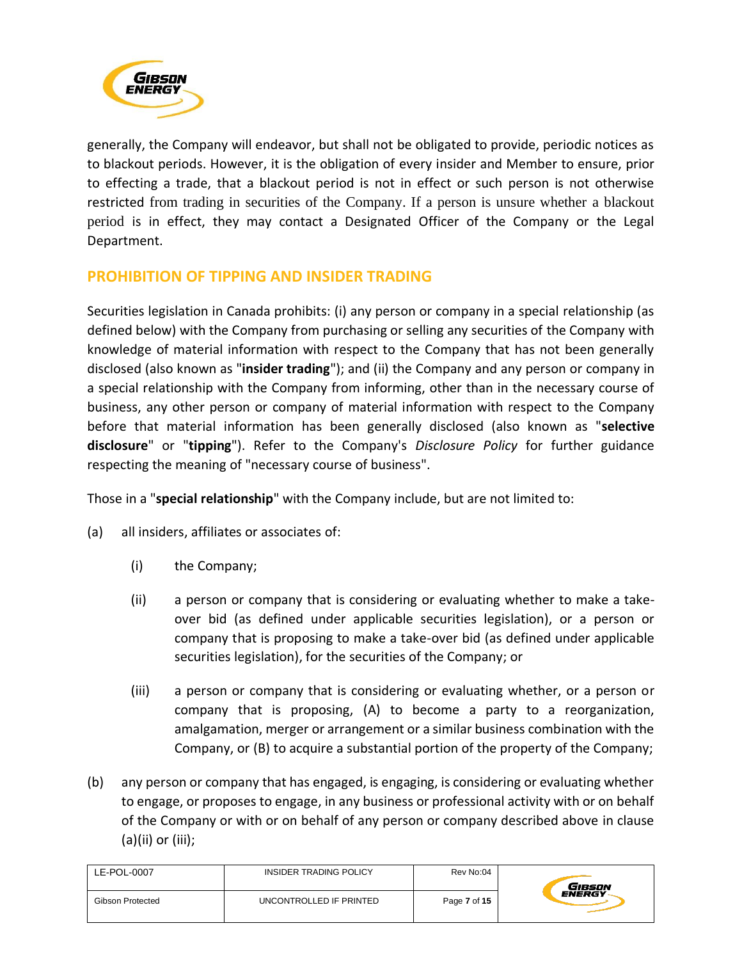

generally, the Company will endeavor, but shall not be obligated to provide, periodic notices as to blackout periods. However, it is the obligation of every insider and Member to ensure, prior to effecting a trade, that a blackout period is not in effect or such person is not otherwise restricted from trading in securities of the Company. If a person is unsure whether a blackout period is in effect, they may contact a Designated Officer of the Company or the Legal Department.

# **PROHIBITION OF TIPPING AND INSIDER TRADING**

Securities legislation in Canada prohibits: (i) any person or company in a special relationship (as defined below) with the Company from purchasing or selling any securities of the Company with knowledge of material information with respect to the Company that has not been generally disclosed (also known as "**insider trading**"); and (ii) the Company and any person or company in a special relationship with the Company from informing, other than in the necessary course of business, any other person or company of material information with respect to the Company before that material information has been generally disclosed (also known as "**selective disclosure**" or "**tipping**"). Refer to the Company's *Disclosure Policy* for further guidance respecting the meaning of "necessary course of business".

Those in a "**special relationship**" with the Company include, but are not limited to:

- (a) all insiders, affiliates or associates of:
	- (i) the Company;
	- (ii) a person or company that is considering or evaluating whether to make a takeover bid (as defined under applicable securities legislation), or a person or company that is proposing to make a take-over bid (as defined under applicable securities legislation), for the securities of the Company; or
	- (iii) a person or company that is considering or evaluating whether, or a person or company that is proposing, (A) to become a party to a reorganization, amalgamation, merger or arrangement or a similar business combination with the Company, or (B) to acquire a substantial portion of the property of the Company;
- (b) any person or company that has engaged, is engaging, is considering or evaluating whether to engage, or proposes to engage, in any business or professional activity with or on behalf of the Company or with or on behalf of any person or company described above in clause (a)(ii) or (iii);

| LE-POL-0007      | INSIDER TRADING POLICY  | Rev No:04    | Gibson        |
|------------------|-------------------------|--------------|---------------|
| Gibson Protected | UNCONTROLLED IF PRINTED | Page 7 of 15 | <b>ENERGY</b> |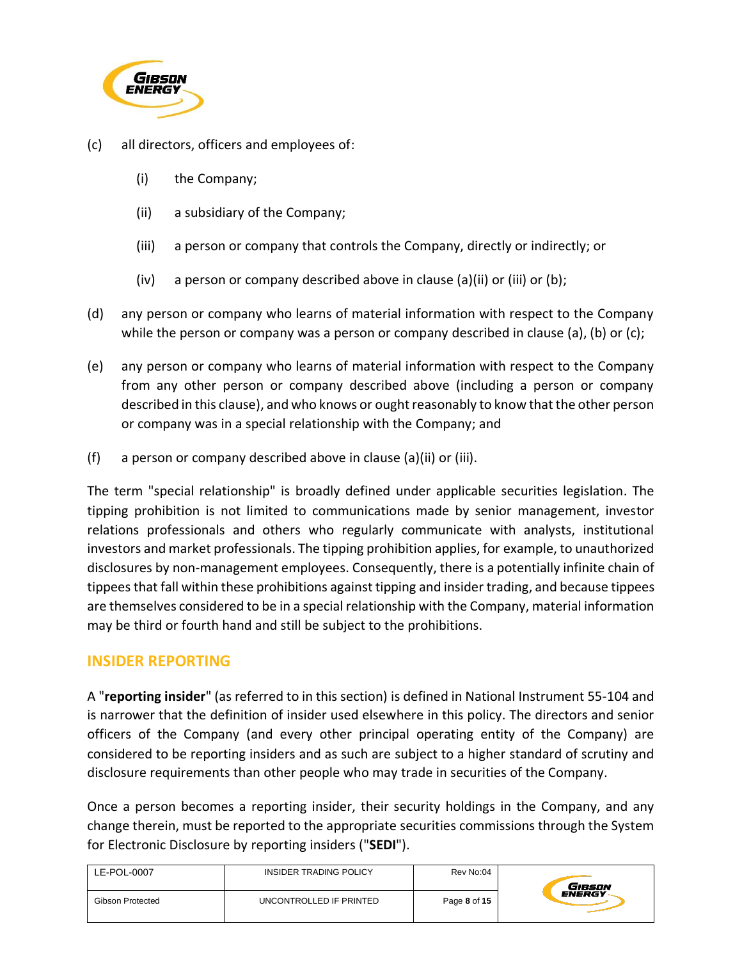

- (c) all directors, officers and employees of:
	- (i) the Company;
	- (ii) a subsidiary of the Company;
	- (iii) a person or company that controls the Company, directly or indirectly; or
	- (iv) a person or company described above in clause (a)(ii) or (iii) or (b);
- (d) any person or company who learns of material information with respect to the Company while the person or company was a person or company described in clause (a), (b) or (c);
- (e) any person or company who learns of material information with respect to the Company from any other person or company described above (including a person or company described in this clause), and who knows or ought reasonably to know that the other person or company was in a special relationship with the Company; and
- (f) a person or company described above in clause (a)(ii) or (iii).

The term "special relationship" is broadly defined under applicable securities legislation. The tipping prohibition is not limited to communications made by senior management, investor relations professionals and others who regularly communicate with analysts, institutional investors and market professionals. The tipping prohibition applies, for example, to unauthorized disclosures by non-management employees. Consequently, there is a potentially infinite chain of tippees that fall within these prohibitions against tipping and insider trading, and because tippees are themselves considered to be in a special relationship with the Company, material information may be third or fourth hand and still be subject to the prohibitions.

## **INSIDER REPORTING**

A "**reporting insider**" (as referred to in this section) is defined in National Instrument 55-104 and is narrower that the definition of insider used elsewhere in this policy. The directors and senior officers of the Company (and every other principal operating entity of the Company) are considered to be reporting insiders and as such are subject to a higher standard of scrutiny and disclosure requirements than other people who may trade in securities of the Company.

Once a person becomes a reporting insider, their security holdings in the Company, and any change therein, must be reported to the appropriate securities commissions through the System for Electronic Disclosure by reporting insiders ("**SEDI**").

| LE-POL-0007      | INSIDER TRADING POLICY  | Rev No:04    | GiBSON        |
|------------------|-------------------------|--------------|---------------|
| Gibson Protected | UNCONTROLLED IF PRINTED | Page 8 of 15 | <b>ENERGY</b> |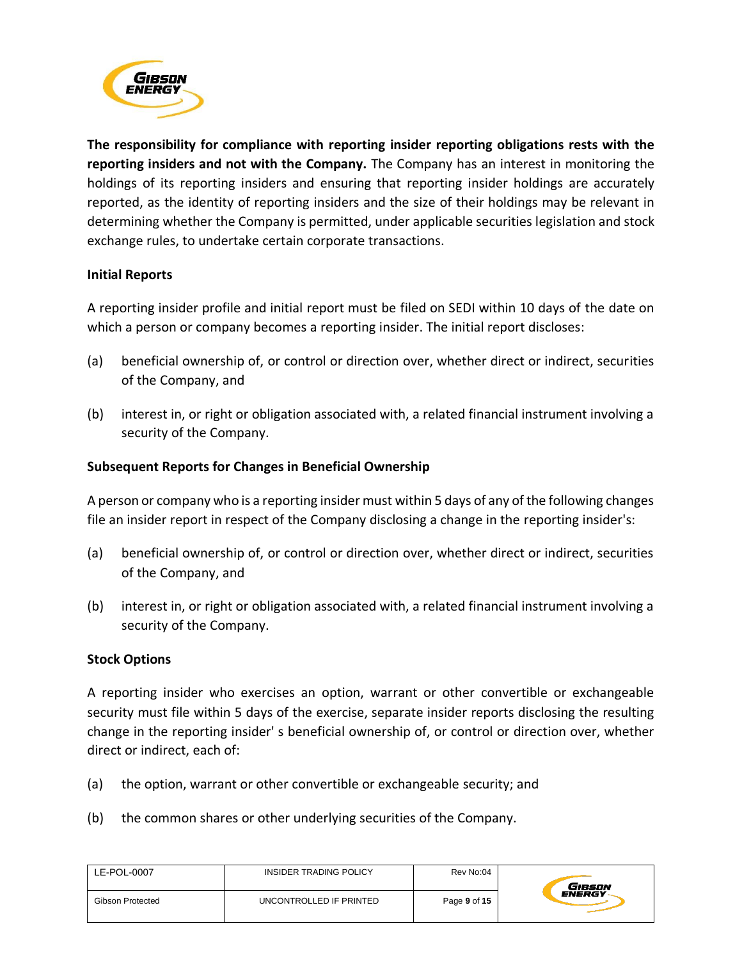

**The responsibility for compliance with reporting insider reporting obligations rests with the reporting insiders and not with the Company.** The Company has an interest in monitoring the holdings of its reporting insiders and ensuring that reporting insider holdings are accurately reported, as the identity of reporting insiders and the size of their holdings may be relevant in determining whether the Company is permitted, under applicable securities legislation and stock exchange rules, to undertake certain corporate transactions.

#### **Initial Reports**

A reporting insider profile and initial report must be filed on SEDI within 10 days of the date on which a person or company becomes a reporting insider. The initial report discloses:

- (a) beneficial ownership of, or control or direction over, whether direct or indirect, securities of the Company, and
- (b) interest in, or right or obligation associated with, a related financial instrument involving a security of the Company.

#### **Subsequent Reports for Changes in Beneficial Ownership**

A person or company who is a reporting insider must within 5 days of any of the following changes file an insider report in respect of the Company disclosing a change in the reporting insider's:

- (a) beneficial ownership of, or control or direction over, whether direct or indirect, securities of the Company, and
- (b) interest in, or right or obligation associated with, a related financial instrument involving a security of the Company.

#### **Stock Options**

A reporting insider who exercises an option, warrant or other convertible or exchangeable security must file within 5 days of the exercise, separate insider reports disclosing the resulting change in the reporting insider' s beneficial ownership of, or control or direction over, whether direct or indirect, each of:

- (a) the option, warrant or other convertible or exchangeable security; and
- (b) the common shares or other underlying securities of the Company.

| LE-POL-0007             | INSIDER TRADING POLICY  | Rev No:04    | Gibson        |
|-------------------------|-------------------------|--------------|---------------|
| <b>Gibson Protected</b> | UNCONTROLLED IF PRINTED | Page 9 of 15 | <b>ENERGY</b> |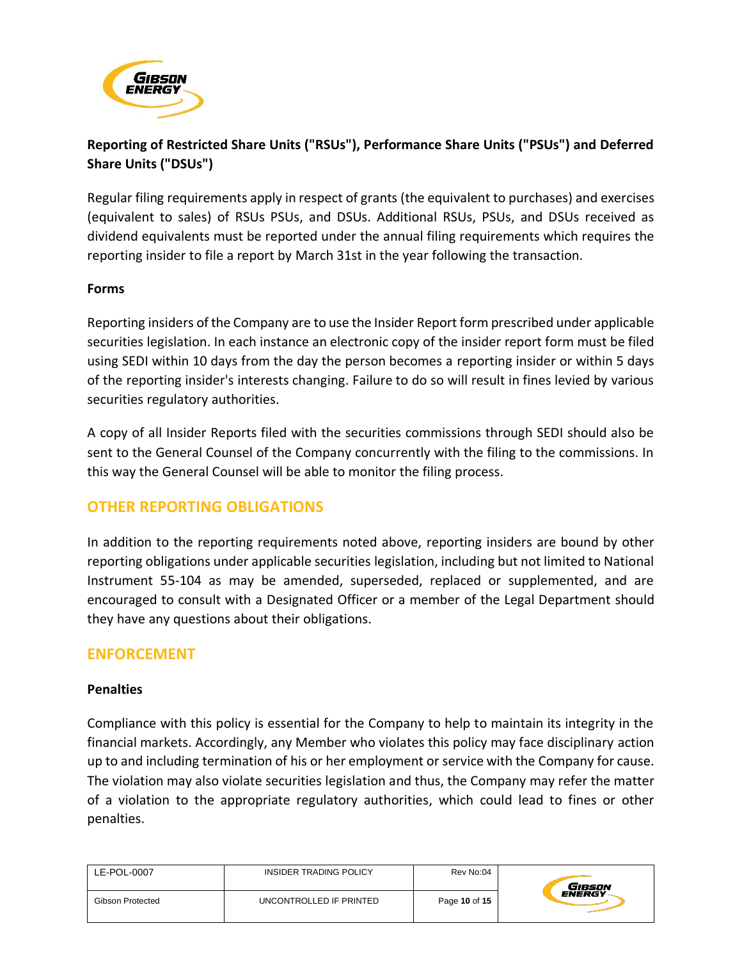

# **Reporting of Restricted Share Units ("RSUs"), Performance Share Units ("PSUs") and Deferred Share Units ("DSUs")**

Regular filing requirements apply in respect of grants (the equivalent to purchases) and exercises (equivalent to sales) of RSUs PSUs, and DSUs. Additional RSUs, PSUs, and DSUs received as dividend equivalents must be reported under the annual filing requirements which requires the reporting insider to file a report by March 31st in the year following the transaction.

#### **Forms**

Reporting insiders of the Company are to use the Insider Report form prescribed under applicable securities legislation. In each instance an electronic copy of the insider report form must be filed using SEDI within 10 days from the day the person becomes a reporting insider or within 5 days of the reporting insider's interests changing. Failure to do so will result in fines levied by various securities regulatory authorities.

A copy of all Insider Reports filed with the securities commissions through SEDI should also be sent to the General Counsel of the Company concurrently with the filing to the commissions. In this way the General Counsel will be able to monitor the filing process.

# **OTHER REPORTING OBLIGATIONS**

In addition to the reporting requirements noted above, reporting insiders are bound by other reporting obligations under applicable securities legislation, including but not limited to National Instrument 55-104 as may be amended, superseded, replaced or supplemented, and are encouraged to consult with a Designated Officer or a member of the Legal Department should they have any questions about their obligations.

# **ENFORCEMENT**

## **Penalties**

Compliance with this policy is essential for the Company to help to maintain its integrity in the financial markets. Accordingly, any Member who violates this policy may face disciplinary action up to and including termination of his or her employment or service with the Company for cause. The violation may also violate securities legislation and thus, the Company may refer the matter of a violation to the appropriate regulatory authorities, which could lead to fines or other penalties.

| LE-POL-0007      | <b>INSIDER TRADING POLICY</b> | Rev No:04     | Gibson        |
|------------------|-------------------------------|---------------|---------------|
| Gibson Protected | UNCONTROLLED IF PRINTED       | Page 10 of 15 | <b>ENERGY</b> |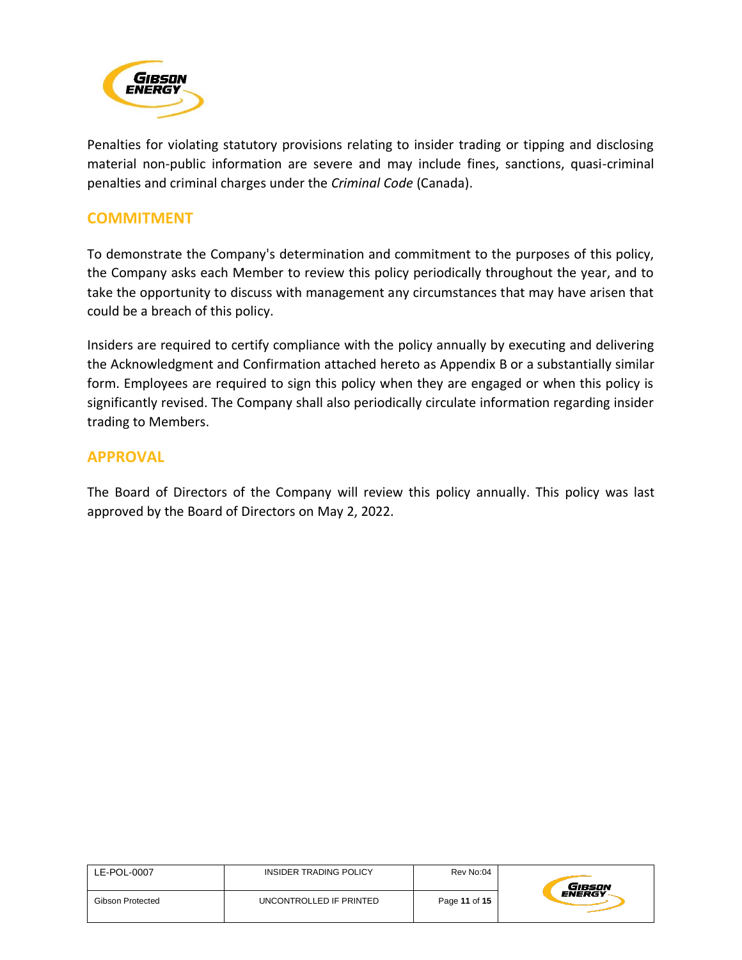

Penalties for violating statutory provisions relating to insider trading or tipping and disclosing material non-public information are severe and may include fines, sanctions, quasi-criminal penalties and criminal charges under the *Criminal Code* (Canada).

## **COMMITMENT**

To demonstrate the Company's determination and commitment to the purposes of this policy, the Company asks each Member to review this policy periodically throughout the year, and to take the opportunity to discuss with management any circumstances that may have arisen that could be a breach of this policy.

Insiders are required to certify compliance with the policy annually by executing and delivering the Acknowledgment and Confirmation attached hereto as Appendix B or a substantially similar form. Employees are required to sign this policy when they are engaged or when this policy is significantly revised. The Company shall also periodically circulate information regarding insider trading to Members.

## **APPROVAL**

The Board of Directors of the Company will review this policy annually. This policy was last approved by the Board of Directors on May 2, 2022.

| LE-POL-0007      | INSIDER TRADING POLICY  | Rev No:04     | Gibson        |
|------------------|-------------------------|---------------|---------------|
| Gibson Protected | UNCONTROLLED IF PRINTED | Page 11 of 15 | <b>ENERGY</b> |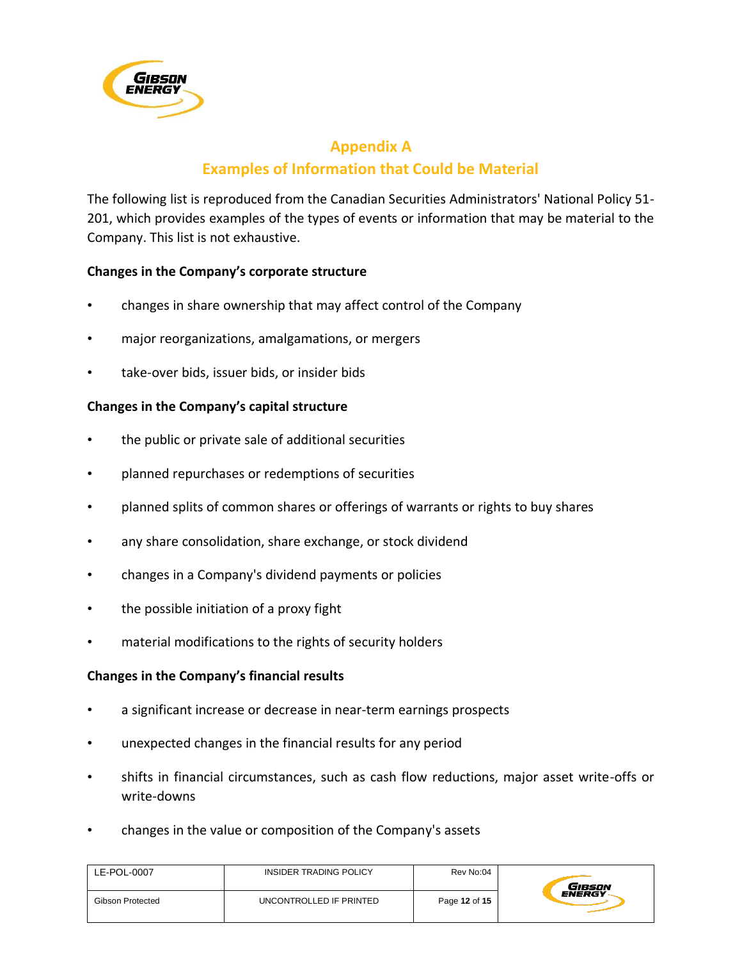

# **Appendix A Examples of Information that Could be Material**

The following list is reproduced from the Canadian Securities Administrators' National Policy 51- 201, which provides examples of the types of events or information that may be material to the Company. This list is not exhaustive.

#### **Changes in the Company's corporate structure**

- changes in share ownership that may affect control of the Company
- major reorganizations, amalgamations, or mergers
- take-over bids, issuer bids, or insider bids

#### **Changes in the Company's capital structure**

- the public or private sale of additional securities
- planned repurchases or redemptions of securities
- planned splits of common shares or offerings of warrants or rights to buy shares
- any share consolidation, share exchange, or stock dividend
- changes in a Company's dividend payments or policies
- the possible initiation of a proxy fight
- material modifications to the rights of security holders

#### **Changes in the Company's financial results**

- a significant increase or decrease in near-term earnings prospects
- unexpected changes in the financial results for any period
- shifts in financial circumstances, such as cash flow reductions, major asset write-offs or write-downs
- changes in the value or composition of the Company's assets

| LE-POL-0007      | INSIDER TRADING POLICY  | Rev No:04     | GIBSON        |
|------------------|-------------------------|---------------|---------------|
| Gibson Protected | UNCONTROLLED IF PRINTED | Page 12 of 15 | <b>ENERGY</b> |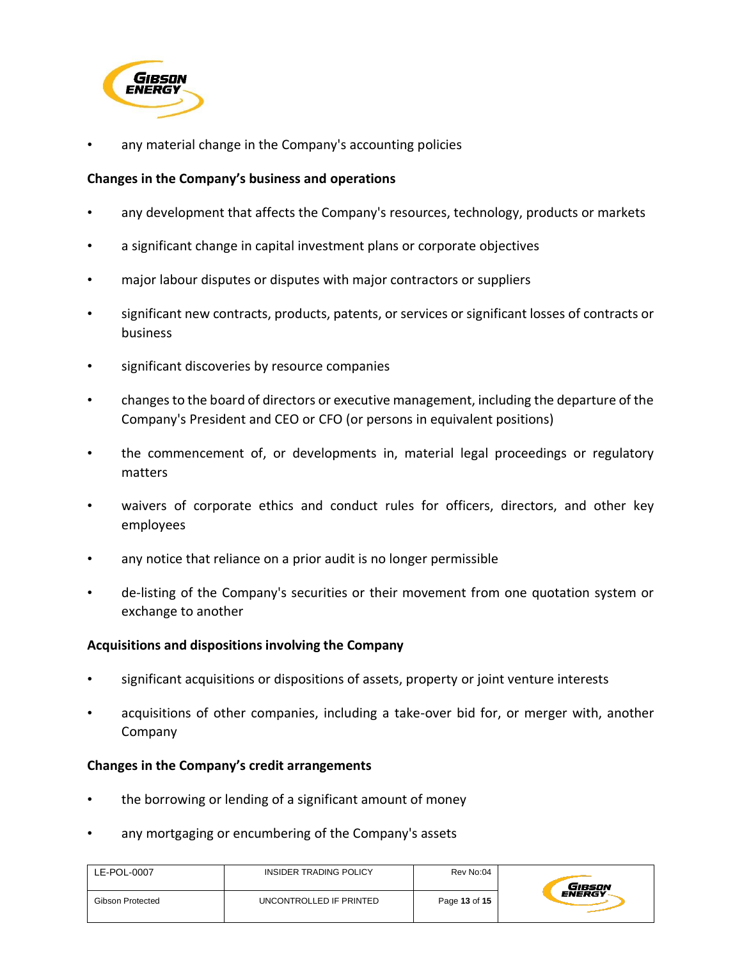

any material change in the Company's accounting policies

### **Changes in the Company's business and operations**

- any development that affects the Company's resources, technology, products or markets
- a significant change in capital investment plans or corporate objectives
- major labour disputes or disputes with major contractors or suppliers
- significant new contracts, products, patents, or services or significant losses of contracts or business
- significant discoveries by resource companies
- changes to the board of directors or executive management, including the departure of the Company's President and CEO or CFO (or persons in equivalent positions)
- the commencement of, or developments in, material legal proceedings or regulatory matters
- waivers of corporate ethics and conduct rules for officers, directors, and other key employees
- any notice that reliance on a prior audit is no longer permissible
- de-listing of the Company's securities or their movement from one quotation system or exchange to another

## **Acquisitions and dispositions involving the Company**

- significant acquisitions or dispositions of assets, property or joint venture interests
- acquisitions of other companies, including a take-over bid for, or merger with, another Company

#### **Changes in the Company's credit arrangements**

- the borrowing or lending of a significant amount of money
- any mortgaging or encumbering of the Company's assets

| LE-POL-0007      | INSIDER TRADING POLICY  | Rev No:04     | Gibson        |
|------------------|-------------------------|---------------|---------------|
| Gibson Protected | UNCONTROLLED IF PRINTED | Page 13 of 15 | <b>ENERGY</b> |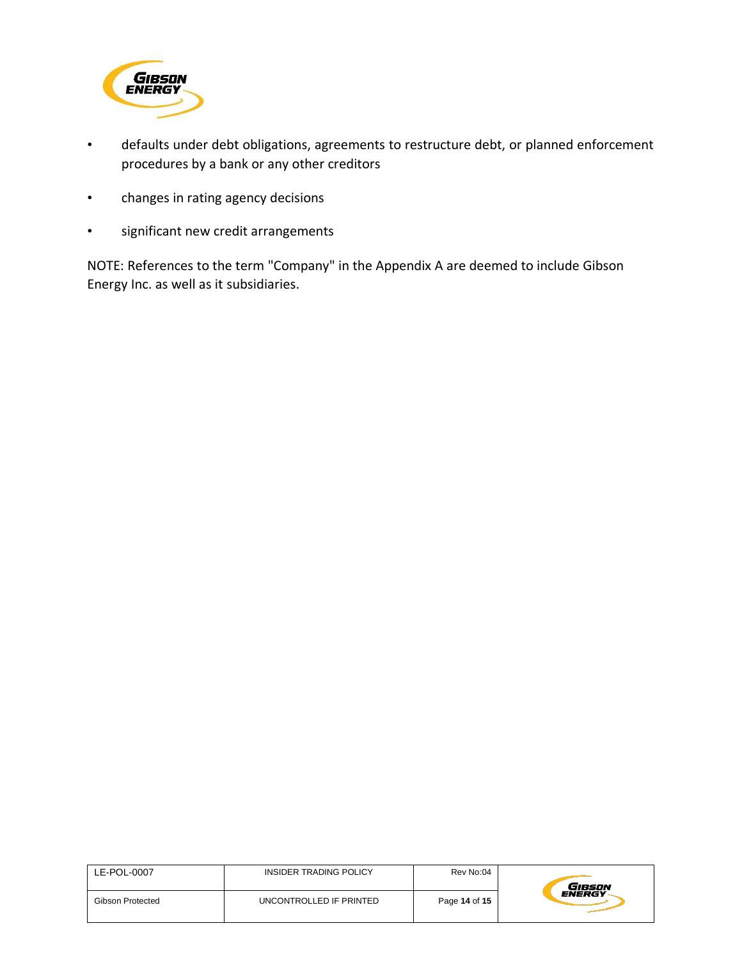

- defaults under debt obligations, agreements to restructure debt, or planned enforcement procedures by a bank or any other creditors
- changes in rating agency decisions
- significant new credit arrangements

NOTE: References to the term "Company" in the Appendix A are deemed to include Gibson Energy Inc. as well as it subsidiaries.

| LE-POL-0007      | INSIDER TRADING POLICY  | Rev No:04     | GIBSON        |
|------------------|-------------------------|---------------|---------------|
| Gibson Protected | UNCONTROLLED IF PRINTED | Page 14 of 15 | <b>ENERGY</b> |